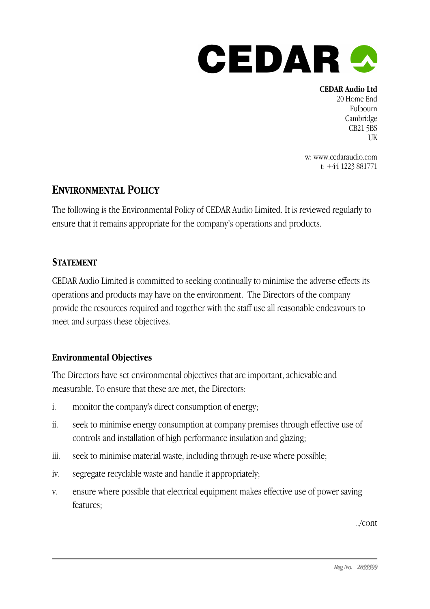

**CEDAR Audio Ltd** 20 Home End Fulbourn Cambridge CB21 5BS UK

w: www.cedaraudio.com t: +44 1223 881771

# **ENVIRONMENTAL POLICY**

The following is the Environmental Policy of CEDAR Audio Limited. It is reviewed regularly to ensure that it remains appropriate for the company's operations and products.

# **STATEMENT**

CEDAR Audio Limited is committed to seeking continually to minimise the adverse effects its operations and products may have on the environment. The Directors of the company provide the resources required and together with the staff use all reasonable endeavours to meet and surpass these objectives.

## **Environmental Objectives**

The Directors have set environmental objectives that are important, achievable and measurable. To ensure that these are met, the Directors:

- i. monitor the company's direct consumption of energy;
- ii. seek to minimise energy consumption at company premises through effective use of controls and installation of high performance insulation and glazing;
- iii. seek to minimise material waste, including through re-use where possible;
- iv. segregate recyclable waste and handle it appropriately;
- v. ensure where possible that electrical equipment makes effective use of power saving features;

../cont